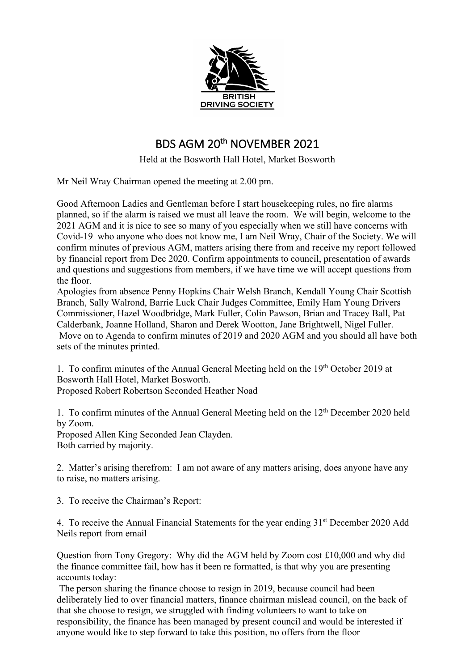

## BDS AGM 20th NOVEMBER 2021

Held at the Bosworth Hall Hotel, Market Bosworth

Mr Neil Wray Chairman opened the meeting at 2.00 pm.

Good Afternoon Ladies and Gentleman before I start housekeeping rules, no fire alarms planned, so if the alarm is raised we must all leave the room. We will begin, welcome to the 2021 AGM and it is nice to see so many of you especially when we still have concerns with Covid-19 who anyone who does not know me, I am Neil Wray, Chair of the Society. We will confirm minutes of previous AGM, matters arising there from and receive my report followed by financial report from Dec 2020. Confirm appointments to council, presentation of awards and questions and suggestions from members, if we have time we will accept questions from the floor.

Apologies from absence Penny Hopkins Chair Welsh Branch, Kendall Young Chair Scottish Branch, Sally Walrond, Barrie Luck Chair Judges Committee, Emily Ham Young Drivers Commissioner, Hazel Woodbridge, Mark Fuller, Colin Pawson, Brian and Tracey Ball, Pat Calderbank, Joanne Holland, Sharon and Derek Wootton, Jane Brightwell, Nigel Fuller. Move on to Agenda to confirm minutes of 2019 and 2020 AGM and you should all have both sets of the minutes printed.

1. To confirm minutes of the Annual General Meeting held on the 19th October 2019 at Bosworth Hall Hotel, Market Bosworth.

Proposed Robert Robertson Seconded Heather Noad

1. To confirm minutes of the Annual General Meeting held on the 12th December 2020 held by Zoom.

Proposed Allen King Seconded Jean Clayden. Both carried by majority.

2. Matter's arising therefrom: I am not aware of any matters arising, does anyone have any to raise, no matters arising.

3. To receive the Chairman's Report:

4. To receive the Annual Financial Statements for the year ending 31<sup>st</sup> December 2020 Add Neils report from email

Question from Tony Gregory: Why did the AGM held by Zoom cost £10,000 and why did the finance committee fail, how has it been re formatted, is that why you are presenting accounts today:

The person sharing the finance choose to resign in 2019, because council had been deliberately lied to over financial matters, finance chairman mislead council, on the back of that she choose to resign, we struggled with finding volunteers to want to take on responsibility, the finance has been managed by present council and would be interested if anyone would like to step forward to take this position, no offers from the floor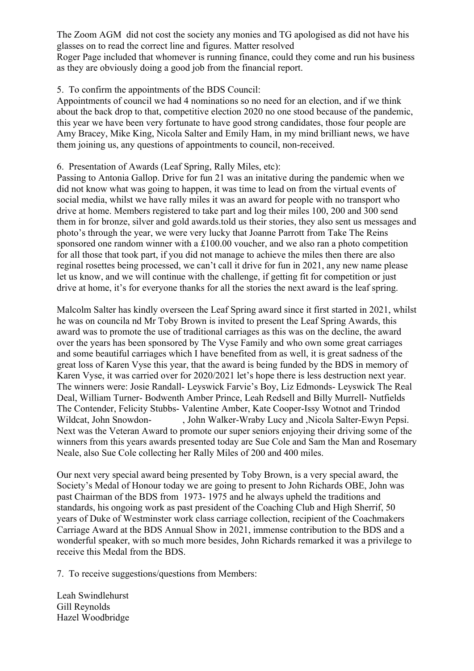The Zoom AGM did not cost the society any monies and TG apologised as did not have his glasses on to read the correct line and figures. Matter resolved

Roger Page included that whomever is running finance, could they come and run his business as they are obviously doing a good job from the financial report.

## 5. To confirm the appointments of the BDS Council:

Appointments of council we had 4 nominations so no need for an election, and if we think about the back drop to that, competitive election 2020 no one stood because of the pandemic, this year we have been very fortunate to have good strong candidates, those four people are Amy Bracey, Mike King, Nicola Salter and Emily Ham, in my mind brilliant news, we have them joining us, any questions of appointments to council, non-received.

## 6. Presentation of Awards (Leaf Spring, Rally Miles, etc):

Passing to Antonia Gallop. Drive for fun 21 was an initative during the pandemic when we did not know what was going to happen, it was time to lead on from the virtual events of social media, whilst we have rally miles it was an award for people with no transport who drive at home. Members registered to take part and log their miles 100, 200 and 300 send them in for bronze, silver and gold awards.told us their stories, they also sent us messages and photo's through the year, we were very lucky that Joanne Parrott from Take The Reins sponsored one random winner with a £100.00 voucher, and we also ran a photo competition for all those that took part, if you did not manage to achieve the miles then there are also reginal rosettes being processed, we can't call it drive for fun in 2021, any new name please let us know, and we will continue with the challenge, if getting fit for competition or just drive at home, it's for everyone thanks for all the stories the next award is the leaf spring.

Malcolm Salter has kindly overseen the Leaf Spring award since it first started in 2021, whilst he was on councila nd Mr Toby Brown is invited to present the Leaf Spring Awards, this award was to promote the use of traditional carriages as this was on the decline, the award over the years has been sponsored by The Vyse Family and who own some great carriages and some beautiful carriages which I have benefited from as well, it is great sadness of the great loss of Karen Vyse this year, that the award is being funded by the BDS in memory of Karen Vyse, it was carried over for 2020/2021 let's hope there is less destruction next year. The winners were: Josie Randall- Leyswick Farvie's Boy, Liz Edmonds- Leyswick The Real Deal, William Turner- Bodwenth Amber Prince, Leah Redsell and Billy Murrell- Nutfields The Contender, Felicity Stubbs- Valentine Amber, Kate Cooper-Issy Wotnot and Trindod Wildcat, John Snowdon- , John Walker-Wraby Lucy and ,Nicola Salter-Ewyn Pepsi. Next was the Veteran Award to promote our super seniors enjoying their driving some of the winners from this years awards presented today are Sue Cole and Sam the Man and Rosemary Neale, also Sue Cole collecting her Rally Miles of 200 and 400 miles.

Our next very special award being presented by Toby Brown, is a very special award, the Society's Medal of Honour today we are going to present to John Richards OBE, John was past Chairman of the BDS from 1973- 1975 and he always upheld the traditions and standards, his ongoing work as past president of the Coaching Club and High Sherrif, 50 years of Duke of Westminster work class carriage collection, recipient of the Coachmakers Carriage Award at the BDS Annual Show in 2021, immense contribution to the BDS and a wonderful speaker, with so much more besides, John Richards remarked it was a privilege to receive this Medal from the BDS.

7. To receive suggestions/questions from Members:

Leah Swindlehurst Gill Reynolds Hazel Woodbridge